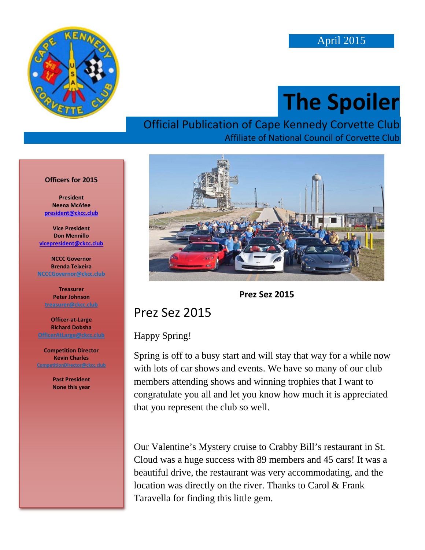

# **The Spoiler**

#### Official Publication of Cape Kennedy Corvette Club Affiliate of National Council of Corvette Club

#### **Officers for 2015**

**President Neena McAfee [president@ckcc.club](mailto:president@ckcc.club)**

**Vice President Don Mennillo [vicepresident@ckcc.club](mailto:vicepresident@ckcc.club)**

**NCCC Governor Brenda Teixeira [NCCCGovernor@ckcc.club](mailto:NCCCGovernor@ckcc.club)**

**Treasurer Peter Johnson [treasurer@ckcc.club](mailto:treasurer@ckcc.club)**

**Officer-at-Large Richard Dobsha**

**Competition Director Kevin Charles**

> **Past President None this year**





#### Prez Sez 2015

#### Happy Spring!

Spring is off to a busy start and will stay that way for a while now with lots of car shows and events. We have so many of our club members attending shows and winning trophies that I want to congratulate you all and let you know how much it is appreciated that you represent the club so well.

Our Valentine's Mystery cruise to Crabby Bill's restaurant in St. Cloud was a huge success with 89 members and 45 cars! It was a beautiful drive, the restaurant was very accommodating, and the location was directly on the river. Thanks to Carol & Frank Taravella for finding this little gem.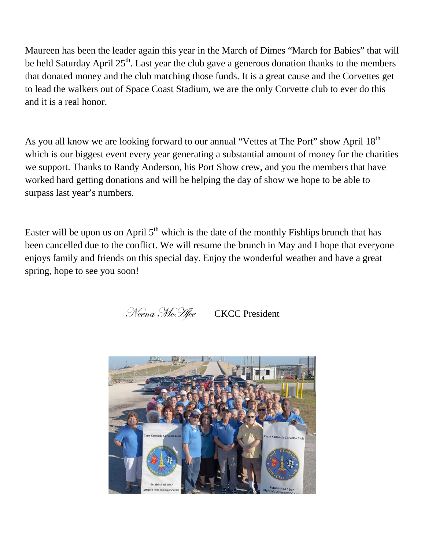Maureen has been the leader again this year in the March of Dimes "March for Babies" that will be held Saturday April  $25<sup>th</sup>$ . Last year the club gave a generous donation thanks to the members that donated money and the club matching those funds. It is a great cause and the Corvettes get to lead the walkers out of Space Coast Stadium, we are the only Corvette club to ever do this and it is a real honor.

As you all know we are looking forward to our annual "Vettes at The Port" show April 18<sup>th</sup> which is our biggest event every year generating a substantial amount of money for the charities we support. Thanks to Randy Anderson, his Port Show crew, and you the members that have worked hard getting donations and will be helping the day of show we hope to be able to surpass last year's numbers.

Easter will be upon us on April  $5<sup>th</sup>$  which is the date of the monthly Fishlips brunch that has been cancelled due to the conflict. We will resume the brunch in May and I hope that everyone enjoys family and friends on this special day. Enjoy the wonderful weather and have a great spring, hope to see you soon!

Neena McHee CKCC President

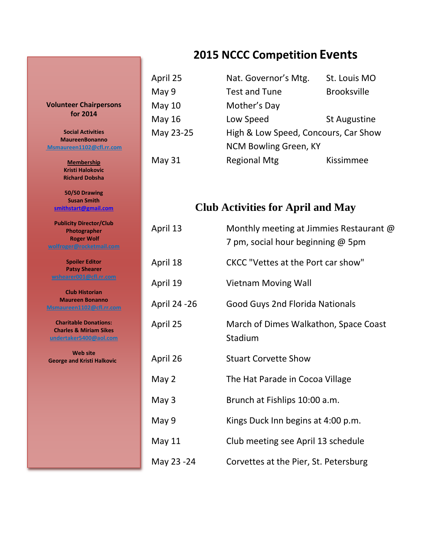#### **2015 NCCC Competition Events**

| April 25  | Nat. Governor's Mtg.                 | St. Louis MO        |
|-----------|--------------------------------------|---------------------|
| May 9     | <b>Test and Tune</b>                 | <b>Brooksville</b>  |
| May 10    | Mother's Day                         |                     |
| May 16    | Low Speed                            | <b>St Augustine</b> |
| May 23-25 | High & Low Speed, Concours, Car Show |                     |
|           | NCM Bowling Green, KY                |                     |
| May 31    | <b>Regional Mtg</b>                  | Kissimmee           |

#### **Club Activities for April and May**

| April 13      | Monthly meeting at Jimmies Restaurant @<br>7 pm, social hour beginning @ 5pm |
|---------------|------------------------------------------------------------------------------|
| April 18      | CKCC "Vettes at the Port car show"                                           |
| April 19      | <b>Vietnam Moving Wall</b>                                                   |
| April 24 - 26 | <b>Good Guys 2nd Florida Nationals</b>                                       |
| April 25      | March of Dimes Walkathon, Space Coast<br>Stadium                             |
| April 26      | <b>Stuart Corvette Show</b>                                                  |
| May 2         | The Hat Parade in Cocoa Village                                              |
| May 3         | Brunch at Fishlips 10:00 a.m.                                                |
| May 9         | Kings Duck Inn begins at 4:00 p.m.                                           |
| <b>May 11</b> | Club meeting see April 13 schedule                                           |
| May 23 -24    | Corvettes at the Pier, St. Petersburg                                        |

**Volunteer Chairpersons for 2014**

**Social Activities MaureenBonanno [Msmaureen1102@cfl.rr.com](mailto:msmaureen1102@cfl.rr.com)**

> **Membership Kristi Halokovic Richard Dobsha**

**50/50 Drawing Susan Smith [smithstart@gmail.com](mailto:smithstart@gmail.com)**

**Publicity Director/Club Photographer Roger Wolf [wolfroger@rocketmail.com](mailto:wolfroger@rocketmail.com)**

**Spoiler Editor Patsy Shearer [wshearer001@cfl.rr.com](mailto:cozyjohn@cfl.rr.com)**

**Club Historian Maureen Bonanno [Msmaureen1102@cfl.rr.com](mailto:Msmaureen1102@cfl.rr.com)**

**Charitable Donations: Charles & Miriam Sikes [undertaker5400@aol.com](mailto:undertaker5400@aol.com)**

**Web site George and Kristi Halkovic**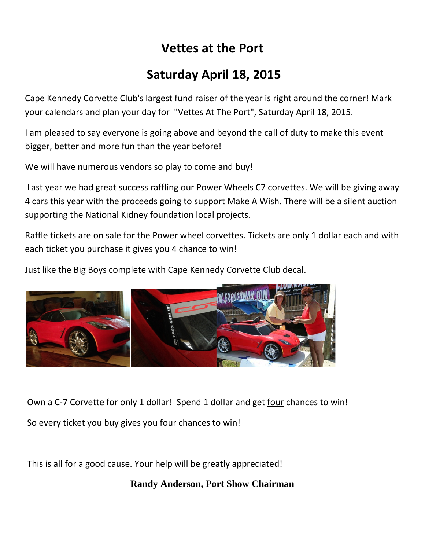## **Vettes at the Port**

## **Saturday April 18, 2015**

Cape Kennedy Corvette Club's largest fund raiser of the year is right around the corner! Mark your calendars and plan your day for "Vettes At The Port", Saturday April 18, 2015.

I am pleased to say everyone is going above and beyond the call of duty to make this event bigger, better and more fun than the year before!

We will have numerous vendors so play to come and buy!

Last year we had great success raffling our Power Wheels C7 corvettes. We will be giving away 4 cars this year with the proceeds going to support Make A Wish. There will be a silent auction supporting the National Kidney foundation local projects.

Raffle tickets are on sale for the Power wheel corvettes. Tickets are only 1 dollar each and with each ticket you purchase it gives you 4 chance to win!

Just like the Big Boys complete with Cape Kennedy Corvette Club decal.



Own a C-7 Corvette for only 1 dollar! Spend 1 dollar and get four chances to win! So every ticket you buy gives you four chances to win!

This is all for a good cause. Your help will be greatly appreciated!

**Randy Anderson, Port Show Chairman**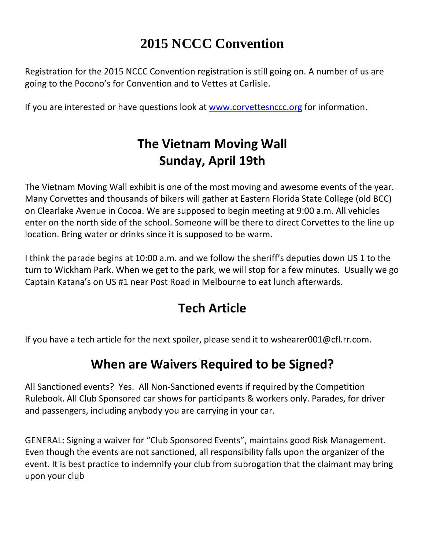# **2015 NCCC Convention**

Registration for the 2015 NCCC Convention registration is still going on. A number of us are going to the Pocono's for Convention and to Vettes at Carlisle.

If you are interested or have questions look at [www.corvettesnccc.org](http://www.corvettesnccc.org/) for information.

# **The Vietnam Moving Wall Sunday, April 19th**

The Vietnam Moving Wall exhibit is one of the most moving and awesome events of the year. Many Corvettes and thousands of bikers will gather at Eastern Florida State College (old BCC) on Clearlake Avenue in Cocoa. We are supposed to begin meeting at 9:00 a.m. All vehicles enter on the north side of the school. Someone will be there to direct Corvettes to the line up location. Bring water or drinks since it is supposed to be warm.

I think the parade begins at 10:00 a.m. and we follow the sheriff's deputies down US 1 to the turn to Wickham Park. When we get to the park, we will stop for a few minutes. Usually we go Captain Katana's on US #1 near Post Road in Melbourne to eat lunch afterwards.

# **Tech Article**

If you have a tech article for the next spoiler, please send it to wshearer001@cfl.rr.com.

### **When are Waivers Required to be Signed?**

All Sanctioned events? Yes. All Non-Sanctioned events if required by the Competition Rulebook. All Club Sponsored car shows for participants & workers only. Parades, for driver and passengers, including anybody you are carrying in your car.

GENERAL: Signing a waiver for "Club Sponsored Events", maintains good Risk Management. Even though the events are not sanctioned, all responsibility falls upon the organizer of the event. It is best practice to indemnify your club from subrogation that the claimant may bring upon your club